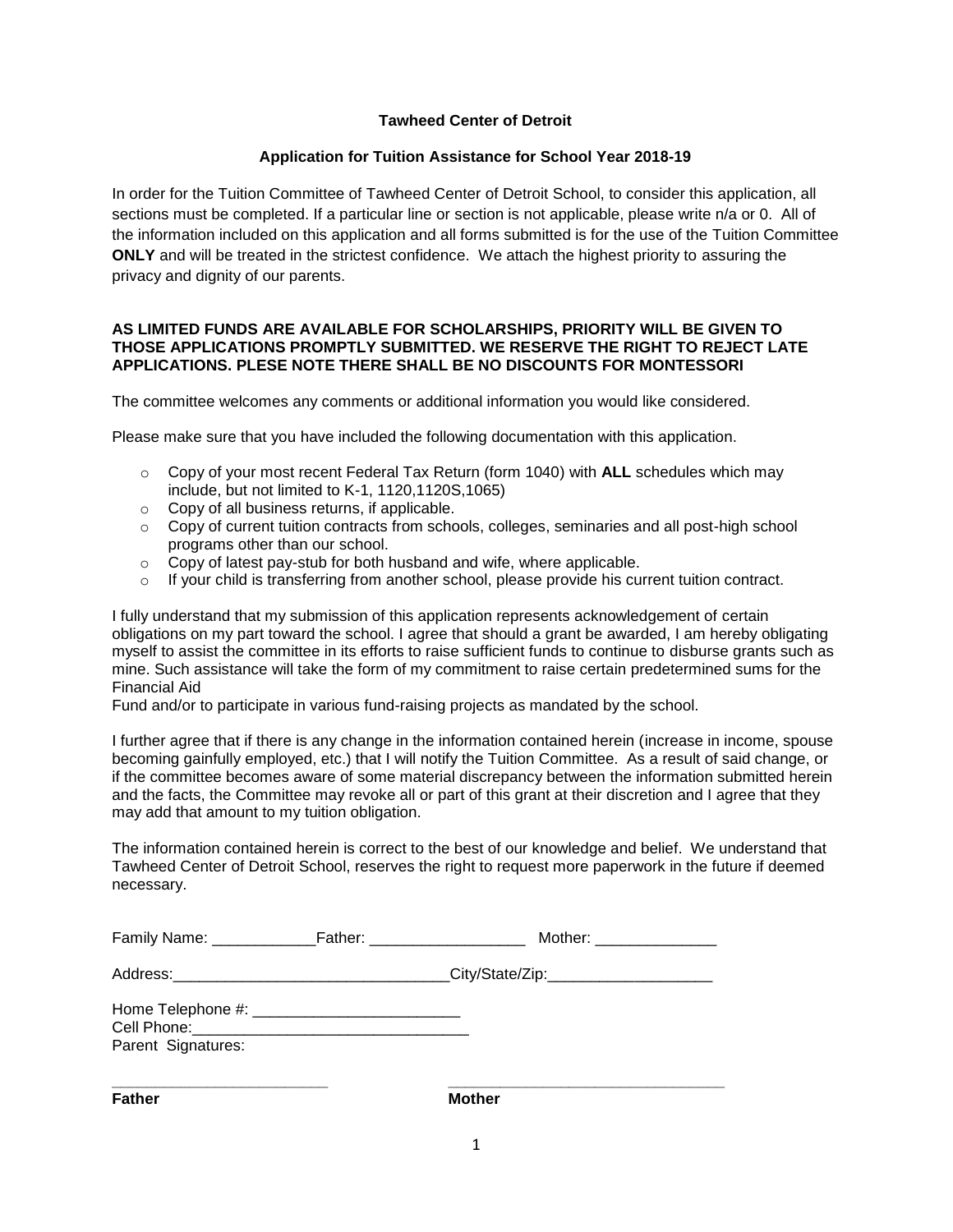# **Tawheed Center of Detroit**

## **Application for Tuition Assistance for School Year 2018-19**

In order for the Tuition Committee of Tawheed Center of Detroit School, to consider this application, all sections must be completed. If a particular line or section is not applicable, please write n/a or 0. All of the information included on this application and all forms submitted is for the use of the Tuition Committee **ONLY** and will be treated in the strictest confidence. We attach the highest priority to assuring the privacy and dignity of our parents.

## **AS LIMITED FUNDS ARE AVAILABLE FOR SCHOLARSHIPS, PRIORITY WILL BE GIVEN TO THOSE APPLICATIONS PROMPTLY SUBMITTED. WE RESERVE THE RIGHT TO REJECT LATE APPLICATIONS. PLESE NOTE THERE SHALL BE NO DISCOUNTS FOR MONTESSORI**

The committee welcomes any comments or additional information you would like considered.

Please make sure that you have included the following documentation with this application.

- o Copy of your most recent Federal Tax Return (form 1040) with **ALL** schedules which may include, but not limited to K-1, 1120,1120S,1065)
- o Copy of all business returns, if applicable.
- $\circ$  Copy of current tuition contracts from schools, colleges, seminaries and all post-high school programs other than our school.
- o Copy of latest pay-stub for both husband and wife, where applicable.
- $\circ$  If your child is transferring from another school, please provide his current tuition contract.

I fully understand that my submission of this application represents acknowledgement of certain obligations on my part toward the school. I agree that should a grant be awarded, I am hereby obligating myself to assist the committee in its efforts to raise sufficient funds to continue to disburse grants such as mine. Such assistance will take the form of my commitment to raise certain predetermined sums for the Financial Aid

Fund and/or to participate in various fund-raising projects as mandated by the school.

I further agree that if there is any change in the information contained herein (increase in income, spouse becoming gainfully employed, etc.) that I will notify the Tuition Committee. As a result of said change, or if the committee becomes aware of some material discrepancy between the information submitted herein and the facts, the Committee may revoke all or part of this grant at their discretion and I agree that they may add that amount to my tuition obligation.

The information contained herein is correct to the best of our knowledge and belief. We understand that Tawheed Center of Detroit School, reserves the right to request more paperwork in the future if deemed necessary.

|                    |                                                                                  | Mother: ________________ |
|--------------------|----------------------------------------------------------------------------------|--------------------------|
|                    | Address:________________________________City/State/Zip:_________________________ |                          |
| Parent Signatures: |                                                                                  |                          |

**Father Mother Mother**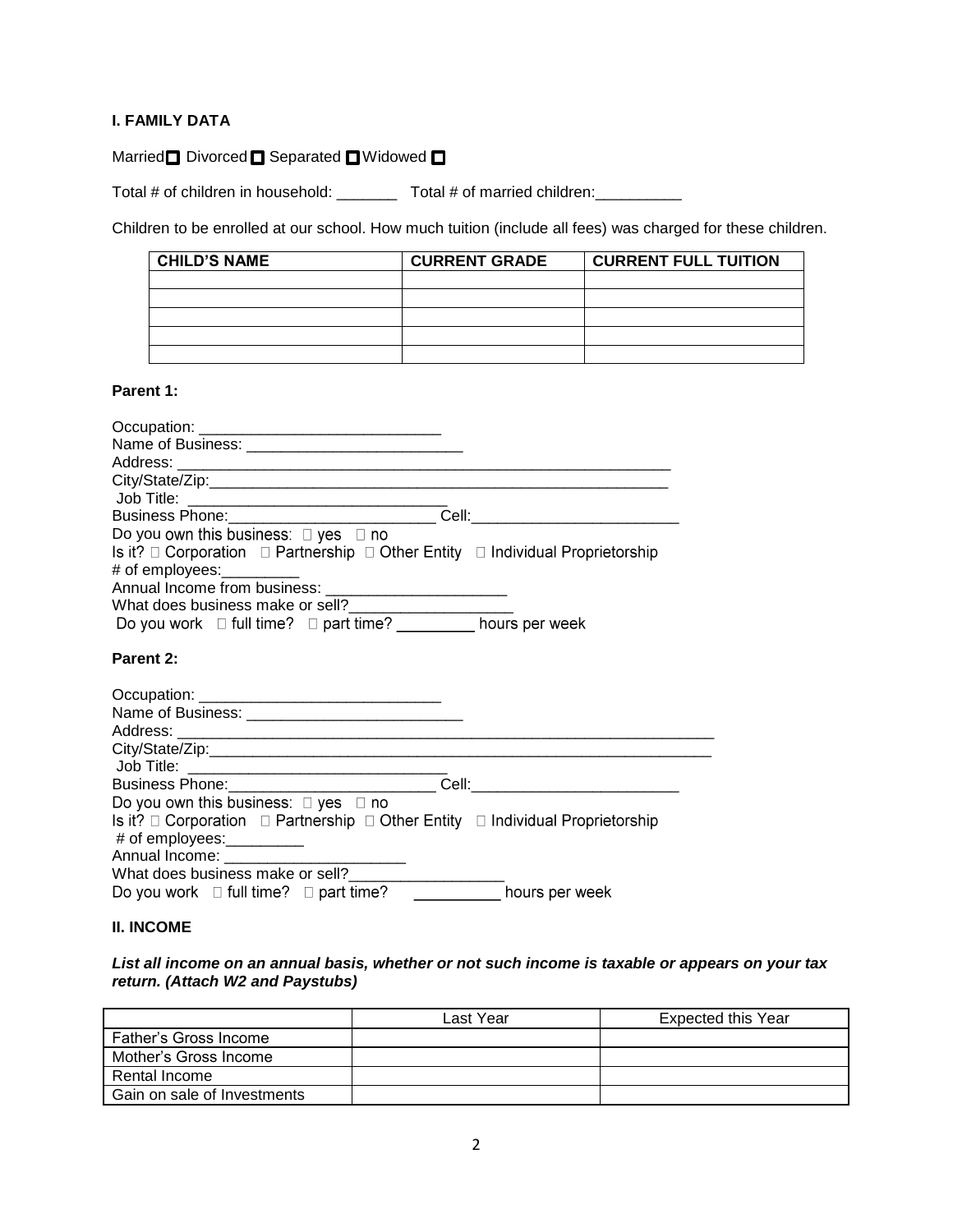# **I. FAMILY DATA**

# Married DDivorced C Separated C Widowed C

Total # of children in household: \_\_\_\_\_\_\_\_ Total # of married children: \_\_\_\_\_\_\_\_

Children to be enrolled at our school. How much tuition (include all fees) was charged for these children.

| <b>CHILD'S NAME</b> | <b>CURRENT GRADE</b> | <b>CURRENT FULL TUITION</b> |
|---------------------|----------------------|-----------------------------|
|                     |                      |                             |
|                     |                      |                             |
|                     |                      |                             |
|                     |                      |                             |
|                     |                      |                             |

## **Parent 1:**

| Business Phone: ______________________________Cell: ____________________________                                                                          |
|-----------------------------------------------------------------------------------------------------------------------------------------------------------|
| Do you own this business: $\Box$ yes $\Box$ no                                                                                                            |
| Is it? $\Box$ Corporation $\Box$ Partnership $\Box$ Other Entity $\Box$ Individual Proprietorship<br># of employees: <u>with the set of</u>               |
|                                                                                                                                                           |
| What does business make or sell?_________________________                                                                                                 |
| Do you work □ full time? □ part time? <u>__________</u> hours per week                                                                                    |
| Parent 2:                                                                                                                                                 |
|                                                                                                                                                           |
|                                                                                                                                                           |
|                                                                                                                                                           |
|                                                                                                                                                           |
|                                                                                                                                                           |
| Cell: ___________________________                                                                                                                         |
| Do you own this business: $\square$ yes $\square$ no<br>Is it? $\Box$ Corporation $\Box$ Partnership $\Box$ Other Entity $\Box$ Individual Proprietorship |
| # of employees:__________                                                                                                                                 |
|                                                                                                                                                           |
|                                                                                                                                                           |

Do you work  $\Box$  full time?  $\Box$  part time? \_\_\_\_\_\_\_\_\_\_\_\_\_\_hours per week

# **II. INCOME**

# *List all income on an annual basis, whether or not such income is taxable or appears on your tax return. (Attach W2 and Paystubs)*

|                             | Last Year | <b>Expected this Year</b> |
|-----------------------------|-----------|---------------------------|
| Father's Gross Income       |           |                           |
| Mother's Gross Income       |           |                           |
| Rental Income               |           |                           |
| Gain on sale of Investments |           |                           |